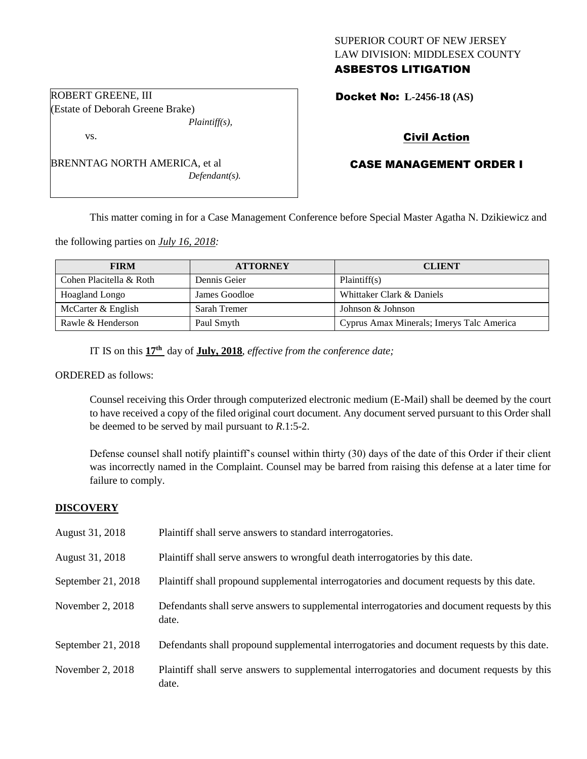# SUPERIOR COURT OF NEW JERSEY LAW DIVISION: MIDDLESEX COUNTY ASBESTOS LITIGATION

Docket No: **L-2456-18 (AS)** 

# Civil Action

# CASE MANAGEMENT ORDER I

This matter coming in for a Case Management Conference before Special Master Agatha N. Dzikiewicz and

the following parties on *July 16, 2018:*

| <b>FIRM</b>             | <b>ATTORNEY</b> | <b>CLIENT</b>                             |
|-------------------------|-----------------|-------------------------------------------|
| Cohen Placitella & Roth | Dennis Geier    | Plaintiff(s)                              |
| <b>Hoagland Longo</b>   | James Goodloe   | Whittaker Clark & Daniels                 |
| McCarter & English      | Sarah Tremer    | Johnson & Johnson                         |
| Rawle & Henderson       | Paul Smyth      | Cyprus Amax Minerals; Imerys Talc America |

IT IS on this **17th** day of **July, 2018**, *effective from the conference date;*

*Defendant(s).*

ORDERED as follows:

Counsel receiving this Order through computerized electronic medium (E-Mail) shall be deemed by the court to have received a copy of the filed original court document. Any document served pursuant to this Order shall be deemed to be served by mail pursuant to *R*.1:5-2.

Defense counsel shall notify plaintiff's counsel within thirty (30) days of the date of this Order if their client was incorrectly named in the Complaint. Counsel may be barred from raising this defense at a later time for failure to comply.

#### **DISCOVERY**

| August 31, 2018    | Plaintiff shall serve answers to standard interrogatories.                                            |
|--------------------|-------------------------------------------------------------------------------------------------------|
| August 31, 2018    | Plaintiff shall serve answers to wrongful death interrogatories by this date.                         |
| September 21, 2018 | Plaintiff shall propound supplemental interrogatories and document requests by this date.             |
| November 2, 2018   | Defendants shall serve answers to supplemental interrogatories and document requests by this<br>date. |
| September 21, 2018 | Defendants shall propound supplemental interrogatories and document requests by this date.            |
| November 2, $2018$ | Plaintiff shall serve answers to supplemental interrogatories and document requests by this<br>date.  |

ROBERT GREENE, III (Estate of Deborah Greene Brake) *Plaintiff(s),*

BRENNTAG NORTH AMERICA, et al

vs.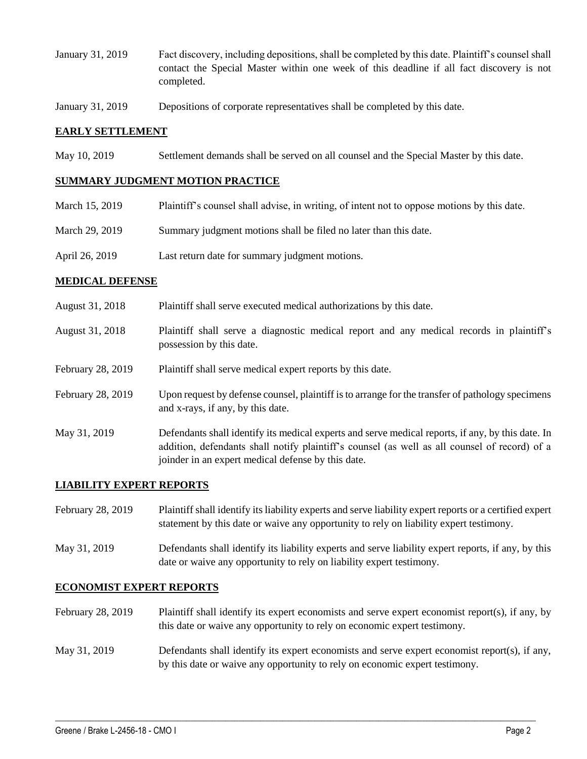- January 31, 2019 Fact discovery, including depositions, shall be completed by this date. Plaintiff's counsel shall contact the Special Master within one week of this deadline if all fact discovery is not completed.
- January 31, 2019 Depositions of corporate representatives shall be completed by this date.

## **EARLY SETTLEMENT**

May 10, 2019 Settlement demands shall be served on all counsel and the Special Master by this date.

#### **SUMMARY JUDGMENT MOTION PRACTICE**

- March 15, 2019 Plaintiff's counsel shall advise, in writing, of intent not to oppose motions by this date.
- March 29, 2019 Summary judgment motions shall be filed no later than this date.
- April 26, 2019 Last return date for summary judgment motions.

## **MEDICAL DEFENSE**

- August 31, 2018 Plaintiff shall serve executed medical authorizations by this date.
- August 31, 2018 Plaintiff shall serve a diagnostic medical report and any medical records in plaintiff's possession by this date.
- February 28, 2019 Plaintiff shall serve medical expert reports by this date.
- February 28, 2019 Upon request by defense counsel, plaintiff is to arrange for the transfer of pathology specimens and x-rays, if any, by this date.
- May 31, 2019 Defendants shall identify its medical experts and serve medical reports, if any, by this date. In addition, defendants shall notify plaintiff's counsel (as well as all counsel of record) of a joinder in an expert medical defense by this date.

# **LIABILITY EXPERT REPORTS**

February 28, 2019 Plaintiff shall identify its liability experts and serve liability expert reports or a certified expert statement by this date or waive any opportunity to rely on liability expert testimony.

May 31, 2019 Defendants shall identify its liability experts and serve liability expert reports, if any, by this date or waive any opportunity to rely on liability expert testimony.

# **ECONOMIST EXPERT REPORTS**

February 28, 2019 Plaintiff shall identify its expert economists and serve expert economist report(s), if any, by this date or waive any opportunity to rely on economic expert testimony.

# May 31, 2019 Defendants shall identify its expert economists and serve expert economist report(s), if any, by this date or waive any opportunity to rely on economic expert testimony.

 $\_$  ,  $\_$  ,  $\_$  ,  $\_$  ,  $\_$  ,  $\_$  ,  $\_$  ,  $\_$  ,  $\_$  ,  $\_$  ,  $\_$  ,  $\_$  ,  $\_$  ,  $\_$  ,  $\_$  ,  $\_$  ,  $\_$  ,  $\_$  ,  $\_$  ,  $\_$  ,  $\_$  ,  $\_$  ,  $\_$  ,  $\_$  ,  $\_$  ,  $\_$  ,  $\_$  ,  $\_$  ,  $\_$  ,  $\_$  ,  $\_$  ,  $\_$  ,  $\_$  ,  $\_$  ,  $\_$  ,  $\_$  ,  $\_$  ,